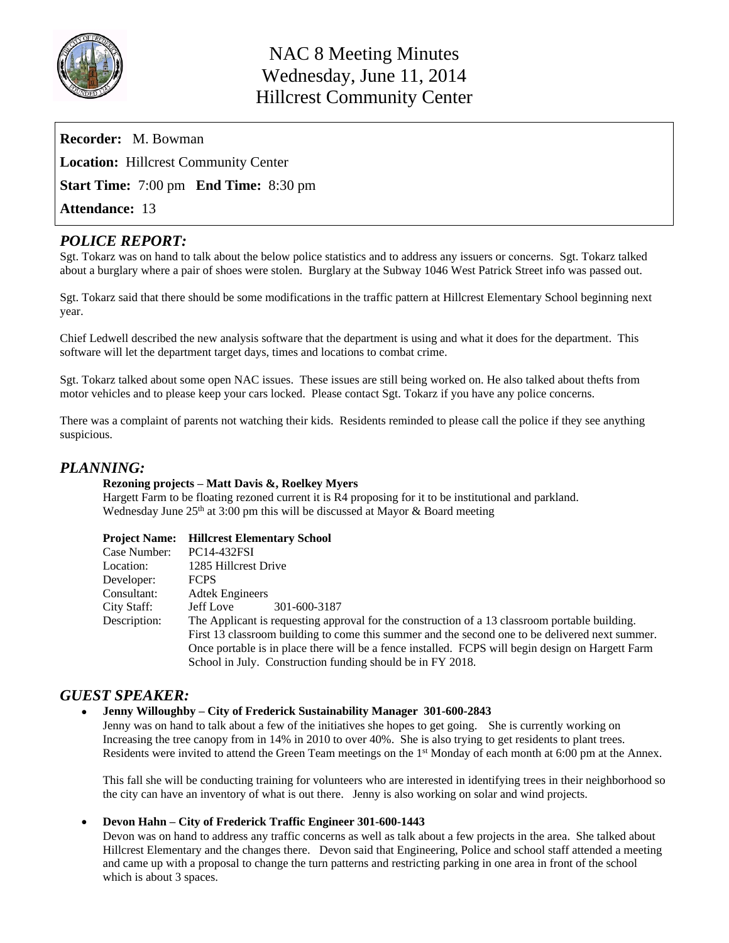

| <b>Recorder:</b> M. Bowman                          |  |
|-----------------------------------------------------|--|
| <b>Location:</b> Hillcrest Community Center         |  |
| <b>Start Time:</b> 7:00 pm <b>End Time:</b> 8:30 pm |  |
| <b>Attendance: 13</b>                               |  |

# *POLICE REPORT:*

Sgt. Tokarz was on hand to talk about the below police statistics and to address any issuers or concerns. Sgt. Tokarz talked about a burglary where a pair of shoes were stolen. Burglary at the Subway 1046 West Patrick Street info was passed out.

Sgt. Tokarz said that there should be some modifications in the traffic pattern at Hillcrest Elementary School beginning next year.

Chief Ledwell described the new analysis software that the department is using and what it does for the department. This software will let the department target days, times and locations to combat crime.

Sgt. Tokarz talked about some open NAC issues. These issues are still being worked on. He also talked about thefts from motor vehicles and to please keep your cars locked. Please contact Sgt. Tokarz if you have any police concerns.

There was a complaint of parents not watching their kids. Residents reminded to please call the police if they see anything suspicious.

# *PLANNING:*

### **Rezoning projects – Matt Davis &, Roelkey Myers**

Hargett Farm to be floating rezoned current it is R4 proposing for it to be institutional and parkland. Wednesday June 25<sup>th</sup> at 3:00 pm this will be discussed at Mayor & Board meeting

| <b>Project Name:</b> Hillcrest Elementary School |
|--------------------------------------------------|
|                                                  |

| Case Number: | PC14-432FSI                                                                                       |
|--------------|---------------------------------------------------------------------------------------------------|
| Location:    | 1285 Hillcrest Drive                                                                              |
| Developer:   | <b>FCPS</b>                                                                                       |
| Consultant:  | <b>Adtek Engineers</b>                                                                            |
| City Staff:  | 301-600-3187<br>Jeff Love                                                                         |
| Description: | The Applicant is requesting approval for the construction of a 13 classroom portable building.    |
|              | First 13 classroom building to come this summer and the second one to be delivered next summer.   |
|              | Once portable is in place there will be a fence installed. FCPS will begin design on Hargett Farm |
|              | School in July. Construction funding should be in FY 2018.                                        |

# *GUEST SPEAKER:*

### **Jenny Willoughby – City of Frederick Sustainability Manager 301-600-2843**

Jenny was on hand to talk about a few of the initiatives she hopes to get going. She is currently working on Increasing the tree canopy from in 14% in 2010 to over 40%. She is also trying to get residents to plant trees. Residents were invited to attend the Green Team meetings on the 1st Monday of each month at 6:00 pm at the Annex.

This fall she will be conducting training for volunteers who are interested in identifying trees in their neighborhood so the city can have an inventory of what is out there. Jenny is also working on solar and wind projects.

### **Devon Hahn – City of Frederick Traffic Engineer 301-600-1443**

Devon was on hand to address any traffic concerns as well as talk about a few projects in the area. She talked about Hillcrest Elementary and the changes there. Devon said that Engineering, Police and school staff attended a meeting and came up with a proposal to change the turn patterns and restricting parking in one area in front of the school which is about 3 spaces.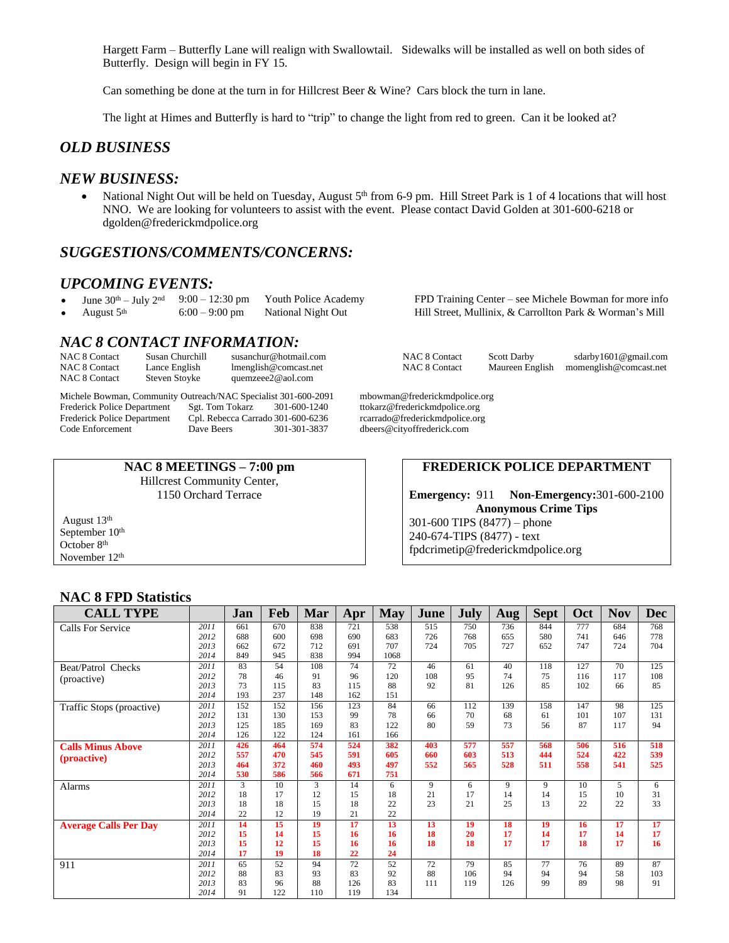Hargett Farm – Butterfly Lane will realign with Swallowtail. Sidewalks will be installed as well on both sides of Butterfly. Design will begin in FY 15.

Can something be done at the turn in for Hillcrest Beer & Wine? Cars block the turn in lane.

The light at Himes and Butterfly is hard to "trip" to change the light from red to green. Can it be looked at?

## *OLD BUSINESS*

### *NEW BUSINESS:*

• National Night Out will be held on Tuesday, August 5<sup>th</sup> from 6-9 pm. Hill Street Park is 1 of 4 locations that will host NNO. We are looking for volunteers to assist with the event. Please contact David Golden at 301-600-6218 or dgolden@frederickmdpolice.org

## *SUGGESTIONS/COMMENTS/CONCERNS:*

### *UPCOMING EVENTS:*

- 
- 

# *NAC 8 CONTACT INFORMATION:*

| NAC 8 Contact | Susan Churchill | susanchur@hotmail.com |
|---------------|-----------------|-----------------------|
| NAC 8 Contact | Lance English   | lmenglish@comcast.net |
| NAC 8 Contact | Steven Stoyke   | quemzeee2@aol.com     |

Michele Bowman, Community Outreach/NAC Specialist 301-600-2091 mbowman@frederickmdpolice.org<br>Frederick Police Department Sgt. Tom Tokarz 301-600-1240 ttokarz@frederickmdpolice.org Frederick Police Department Sgt. Tom Tokarz 301-600-1240 ttokarz@frederickmdpolice.org<br>Frederick Police Department Cpl. Rebecca Carrado 301-600-6236 rcarrado@frederickmdpolice.org Frederick Police Department Cpl. Rebecca Carrado 301-600-6236<br>Code Enforcement Dave Beers 301-301-3837

> **NAC 8 MEETINGS – 7:00 pm** Hillcrest Community Center, 1150 Orchard Terrace

August 13th September 10<sup>th</sup> October 8th November 12th

June  $30^{\text{th}}$  – July  $2^{\text{nd}}$  9:00 – 12:30 pm Youth Police Academy FPD Training Center – see Michele Bowman for more info August  $5^{\text{th}}$  6:00 – 9:00 pm National Night Out Hill Street, Mullinix, & Carrollton Park & Wo Hill Street, Mullinix, & Carrollton Park & Worman's Mill

NAC 8 Contact Scott Darby sdarby1601@gmail.com NAC 8 Contact Maureen English momenglish@comcast.net [momenglish@comcast.net](mailto:momenglish@comcast.net)

dbeers@cityoffrederick.com

### **FREDERICK POLICE DEPARTMENT**

**Emergency:** 911 **Non-Emergency:**301-600-2100 **Anonymous Crime Tips** 301-600 TIPS (8477) – phone 240-674-TIPS (8477) - text [fpdcrimetip@frederickmdpolice.org](mailto:fpdcrimetip@frederickmdpolice.org)

### **NAC 8 FPD Statistics**

| <b>CALL TYPE</b>             |      | Jan | Feb | Mar | Apr | <b>May</b> | June | July | Aug | <b>Sept</b> | <b>Oct</b> | <b>Nov</b>      | <b>Dec</b> |
|------------------------------|------|-----|-----|-----|-----|------------|------|------|-----|-------------|------------|-----------------|------------|
| Calls For Service            | 2011 | 661 | 670 | 838 | 721 | 538        | 515  | 750  | 736 | 844         | 777        | 684             | 768        |
|                              | 2012 | 688 | 600 | 698 | 690 | 683        | 726  | 768  | 655 | 580         | 741        | 646             | 778        |
|                              | 2013 | 662 | 672 | 712 | 691 | 707        | 724  | 705  | 727 | 652         | 747        | 724             | 704        |
|                              | 2014 | 849 | 945 | 838 | 994 | 1068       |      |      |     |             |            |                 |            |
| Beat/Patrol Checks           | 2011 | 83  | 54  | 108 | 74  | 72         | 46   | 61   | 40  | 118         | 127        | $\overline{70}$ | 125        |
| (proactive)                  | 2012 | 78  | 46  | 91  | 96  | 120        | 108  | 95   | 74  | 75          | 116        | 117             | 108        |
|                              | 2013 | 73  | 115 | 83  | 115 | 88         | 92   | 81   | 126 | 85          | 102        | 66              | 85         |
|                              | 2014 | 193 | 237 | 148 | 162 | 151        |      |      |     |             |            |                 |            |
| Traffic Stops (proactive)    | 2011 | 152 | 152 | 156 | 123 | 84         | 66   | 112  | 139 | 158         | 147        | 98              | 125        |
|                              | 2012 | 131 | 130 | 153 | 99  | 78         | 66   | 70   | 68  | 61          | 101        | 107             | 131        |
|                              | 2013 | 125 | 185 | 169 | 83  | 122        | 80   | 59   | 73  | 56          | 87         | 117             | 94         |
|                              | 2014 | 126 | 122 | 124 | 161 | 166        |      |      |     |             |            |                 |            |
| <b>Calls Minus Above</b>     | 2011 | 426 | 464 | 574 | 524 | 382        | 403  | 577  | 557 | 568         | 506        | 516             | 518        |
| ( <i>proactive</i> )         | 2012 | 557 | 470 | 545 | 591 | 605        | 660  | 603  | 513 | 444         | 524        | 422             | 539        |
|                              | 2013 | 464 | 372 | 460 | 493 | 497        | 552  | 565  | 528 | 511         | 558        | 541             | 525        |
|                              | 2014 | 530 | 586 | 566 | 671 | 751        |      |      |     |             |            |                 |            |
| Alarms                       | 2011 | 3   | 10  | 3   | 14  | 6          | 9    | 6    | 9   | 9           | 10         | 5               | 6          |
|                              | 2012 | 18  | 17  | 12  | 15  | 18         | 21   | 17   | 14  | 14          | 15         | 10              | 31         |
|                              | 2013 | 18  | 18  | 15  | 18  | 22         | 23   | 21   | 25  | 13          | 22         | 22              | 33         |
|                              | 2014 | 22  | 12  | 19  | 21  | 22         |      |      |     |             |            |                 |            |
| <b>Average Calls Per Dav</b> | 2011 | 14  | 15  | 19  | 17  | 13         | 13   | 19   | 18  | 19          | 16         | 17              | 17         |
|                              | 2012 | 15  | 14  | 15  | 16  | 16         | 18   | 20   | 17  | 14          | 17         | 14              | 17         |
|                              | 2013 | 15  | 12  | 15  | 16  | 16         | 18   | 18   | 17  | 17          | 18         | 17              | 16         |
|                              | 2014 | 17  | 19  | 18  | 22  | 24         |      |      |     |             |            |                 |            |
| 911                          | 2011 | 65  | 52  | 94  | 72  | 52         | 72   | 79   | 85  | 77          | 76         | 89              | 87         |
|                              | 2012 | 88  | 83  | 93  | 83  | 92         | 88   | 106  | 94  | 94          | 94         | 58              | 103        |
|                              | 2013 | 83  | 96  | 88  | 126 | 83         | 111  | 119  | 126 | 99          | 89         | 98              | 91         |
|                              | 2014 | 91  | 122 | 110 | 119 | 134        |      |      |     |             |            |                 |            |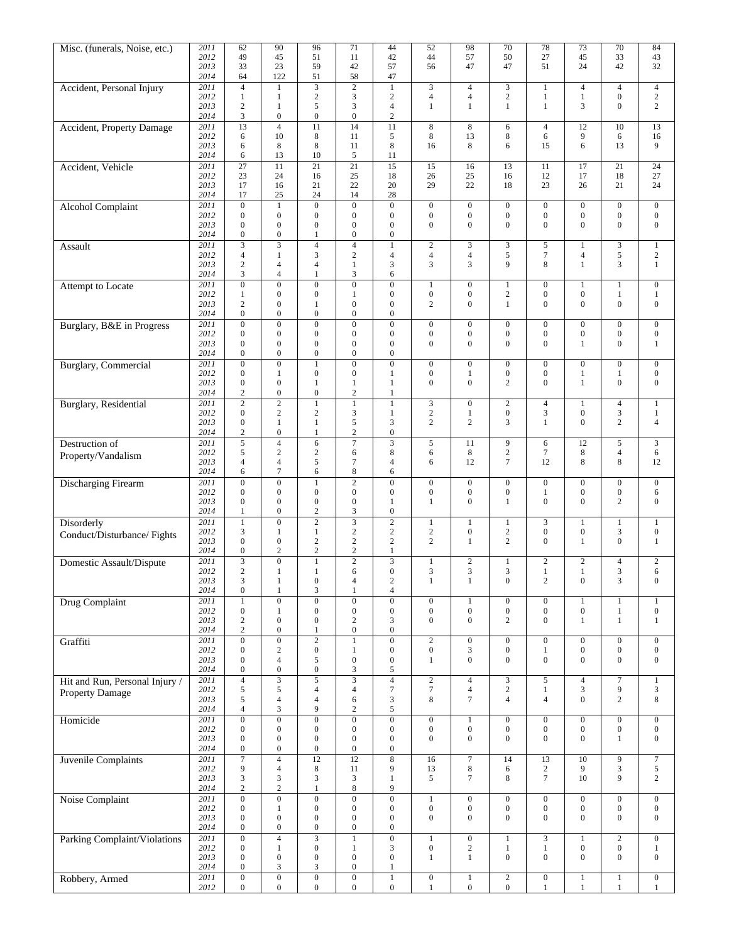| Misc. (funerals, Noise, etc.)    | 2011         | 62                           | 90                               | 96                                   | 71                                   | 44                                   | 52                                   | 98                                   | 70                               | $\overline{78}$                  | $\overline{73}$                      | $\overline{70}$                      | 84                               |
|----------------------------------|--------------|------------------------------|----------------------------------|--------------------------------------|--------------------------------------|--------------------------------------|--------------------------------------|--------------------------------------|----------------------------------|----------------------------------|--------------------------------------|--------------------------------------|----------------------------------|
|                                  | 2012         | 49                           | 45                               | 51                                   | 11                                   | 42                                   | 44                                   | 57                                   | 50                               | 27                               | 45                                   | 33                                   | 43                               |
|                                  | 2013         | 33                           | 23                               | 59                                   | 42                                   | 57                                   | 56                                   | 47                                   | 47                               | 51                               | 24                                   | 42                                   | 32                               |
|                                  | 2014         | 64                           | 122                              | 51                                   | 58                                   | 47                                   |                                      |                                      |                                  |                                  |                                      |                                      |                                  |
| Accident, Personal Injury        | 2011         | $\overline{4}$               | $\mathbf{1}$                     | 3                                    | $\overline{2}$                       | $\mathbf{1}$                         | 3                                    | $\overline{4}$                       | $\mathfrak{Z}$                   | $\mathbf{1}$                     | $\overline{4}$                       | $\overline{4}$                       | $\overline{4}$                   |
|                                  | 2012         | -1                           | 1                                | $\sqrt{2}$                           | 3                                    | $\sqrt{2}$                           | $\overline{4}$                       | $\overline{4}$                       | $\sqrt{2}$                       | $\mathbf{1}$                     | $\mathbf{1}$                         | $\boldsymbol{0}$                     | $\overline{c}$                   |
|                                  | 2013         | $\overline{2}$               | 1                                | 5                                    | 3                                    | $\overline{4}$                       | 1                                    | 1                                    | $\mathbf{1}$                     | $\mathbf{1}$                     | 3                                    | $\boldsymbol{0}$                     | 2                                |
|                                  | 2014         | 3                            | $\boldsymbol{0}$                 | $\boldsymbol{0}$                     | $\boldsymbol{0}$                     | $\mathfrak{2}$                       |                                      |                                      |                                  |                                  |                                      |                                      |                                  |
| <b>Accident, Property Damage</b> | 2011         | 13                           | $\overline{4}$                   | 11                                   | 14                                   | 11                                   | 8                                    | 8                                    | 6                                | $\overline{4}$                   | 12                                   | 10                                   | 13                               |
|                                  | 2012         | 6                            | 10                               | 8                                    | 11                                   | 5                                    | 8                                    | 13                                   | $\,8\,$                          | 6                                | 9                                    | 6                                    | 16                               |
|                                  | 2013         | 6                            | 8                                | $\,$ 8 $\,$                          | 11                                   | $\,8\,$                              | 16                                   | 8                                    | 6                                | 15                               | 6                                    | 13                                   | 9                                |
|                                  | 2014         | 6                            | 13                               | 10                                   | 5                                    | 11                                   |                                      |                                      |                                  |                                  |                                      |                                      |                                  |
| Accident, Vehicle                | 2011         | 27                           | 11                               | 21                                   | $\overline{21}$                      | 15                                   | 15                                   | 16                                   | 13                               | 11                               | 17                                   | 21                                   | 24                               |
|                                  | 2012         | 23                           | 24                               | 16                                   | 25                                   | 18                                   | 26                                   | 25                                   | 16                               | 12                               | 17                                   | 18                                   | 27                               |
|                                  | 2013         | 17                           | 16                               | 21                                   | 22                                   | 20                                   | 29                                   | 22                                   | 18                               | 23                               | 26                                   | 21                                   | 24                               |
|                                  | 2014         | 17                           | 25                               | 24                                   | 14                                   | 28                                   |                                      |                                      |                                  |                                  |                                      |                                      |                                  |
| <b>Alcohol Complaint</b>         | 2011         | $\overline{0}$               | $\mathbf{1}$                     | $\overline{0}$                       | $\overline{0}$                       | $\overline{0}$                       | $\boldsymbol{0}$                     | $\boldsymbol{0}$                     | $\boldsymbol{0}$                 | $\boldsymbol{0}$                 | $\boldsymbol{0}$                     | $\boldsymbol{0}$                     | $\boldsymbol{0}$                 |
|                                  | 2012<br>2013 | $\mathbf{0}$<br>$\mathbf{0}$ | $\boldsymbol{0}$<br>$\mathbf{0}$ | $\boldsymbol{0}$<br>$\boldsymbol{0}$ | $\boldsymbol{0}$<br>$\boldsymbol{0}$ | $\boldsymbol{0}$<br>$\boldsymbol{0}$ | $\boldsymbol{0}$<br>$\mathbf{0}$     | $\boldsymbol{0}$<br>$\boldsymbol{0}$ | $\boldsymbol{0}$<br>$\mathbf{0}$ | $\boldsymbol{0}$<br>$\mathbf{0}$ | $\boldsymbol{0}$<br>$\mathbf{0}$     | $\boldsymbol{0}$<br>$\boldsymbol{0}$ | $\mathbf{0}$<br>$\mathbf{0}$     |
|                                  | 2014         | $\mathbf{0}$                 | $\boldsymbol{0}$                 | 1                                    | $\boldsymbol{0}$                     | $\boldsymbol{0}$                     |                                      |                                      |                                  |                                  |                                      |                                      |                                  |
|                                  | 2011         | $\overline{\mathbf{3}}$      | $\overline{\mathbf{3}}$          | $\overline{4}$                       | $\overline{4}$                       | $\mathbf{1}$                         | $\overline{c}$                       | $\overline{3}$                       | $\mathfrak{Z}$                   | 5                                | 1                                    | $\overline{3}$                       | $\mathbf{1}$                     |
| Assault                          | 2012         | $\overline{4}$               | 1                                | 3                                    | $\mathbf{2}$                         | $\overline{4}$                       | $\overline{4}$                       | $\overline{4}$                       | 5                                | $\tau$                           | $\overline{\mathcal{L}}$             | 5                                    | $\mathbf{2}$                     |
|                                  | 2013         | 2                            | $\overline{4}$                   | $\overline{4}$                       | $\mathbf{1}$                         | 3                                    | 3                                    | 3                                    | 9                                | 8                                | $\mathbf{1}$                         | 3                                    | $\mathbf{1}$                     |
|                                  | 2014         | 3                            | $\overline{4}$                   | 1                                    | 3                                    | 6                                    |                                      |                                      |                                  |                                  |                                      |                                      |                                  |
| Attempt to Locate                | 2011         | $\mathbf{0}$                 | $\overline{0}$                   | $\overline{0}$                       | $\overline{0}$                       | $\boldsymbol{0}$                     | 1                                    | $\boldsymbol{0}$                     | 1                                | $\boldsymbol{0}$                 | 1                                    | 1                                    | $\mathbf{0}$                     |
|                                  | 2012         | 1                            | $\mathbf{0}$                     | $\boldsymbol{0}$                     | $\mathbf{1}$                         | $\boldsymbol{0}$                     | $\boldsymbol{0}$                     | $\mathbf{0}$                         | $\sqrt{2}$                       | $\boldsymbol{0}$                 | $\boldsymbol{0}$                     | 1                                    | $\mathbf{1}$                     |
|                                  | 2013         | $\sqrt{2}$                   | $\mathbf{0}$                     | 1                                    | $\mathbf{0}$                         | $\boldsymbol{0}$                     | $\overline{c}$                       | $\mathbf{0}$                         | 1                                | $\mathbf{0}$                     | $\mathbf{0}$                         | $\boldsymbol{0}$                     | $\boldsymbol{0}$                 |
|                                  | 2014         | $\mathbf{0}$                 | $\mathbf{0}$                     | $\overline{0}$                       | $\boldsymbol{0}$                     | $\boldsymbol{0}$                     |                                      |                                      |                                  |                                  |                                      |                                      |                                  |
| Burglary, B&E in Progress        | 2011         | $\mathbf{0}$                 | $\overline{0}$                   | $\overline{0}$                       | $\overline{0}$                       | $\overline{0}$                       | $\boldsymbol{0}$                     | $\boldsymbol{0}$                     | $\boldsymbol{0}$                 | $\mathbf{0}$                     | $\mathbf{0}$                         | $\boldsymbol{0}$                     | $\mathbf{0}$                     |
|                                  | 2012         | $\mathbf{0}$                 | $\boldsymbol{0}$                 | $\boldsymbol{0}$                     | $\boldsymbol{0}$                     | $\boldsymbol{0}$                     | $\boldsymbol{0}$                     | $\mathbf{0}$                         | $\boldsymbol{0}$                 | $\boldsymbol{0}$                 | $\boldsymbol{0}$                     | $\boldsymbol{0}$                     | $\boldsymbol{0}$                 |
|                                  | 2013         | $\mathbf{0}$                 | $\overline{0}$                   | $\overline{0}$                       | $\mathbf{0}$                         | $\boldsymbol{0}$                     | $\mathbf{0}$                         | $\overline{0}$                       | $\overline{0}$                   | $\mathbf{0}$                     | $\mathbf{1}$                         | $\overline{0}$                       | $\mathbf{1}$                     |
|                                  | 2014         | $\mathbf{0}$                 | $\mathbf{0}$                     | $\boldsymbol{0}$                     | $\boldsymbol{0}$                     | $\boldsymbol{0}$                     |                                      |                                      |                                  |                                  |                                      |                                      |                                  |
| <b>Burglary</b> , Commercial     | 2011         | $\mathbf{0}$                 | $\boldsymbol{0}$                 | $\mathbf{1}$                         | $\boldsymbol{0}$                     | $\boldsymbol{0}$                     | $\boldsymbol{0}$                     | $\boldsymbol{0}$                     | $\boldsymbol{0}$                 | $\boldsymbol{0}$                 | $\boldsymbol{0}$                     | $\boldsymbol{0}$                     | $\mathbf{0}$                     |
|                                  | 2012         | $\mathbf{0}$                 | 1                                | $\boldsymbol{0}$                     | $\boldsymbol{0}$                     | 1                                    | $\boldsymbol{0}$                     | 1                                    | $\boldsymbol{0}$                 | $\boldsymbol{0}$                 | 1                                    | 1                                    | $\mathbf{0}$                     |
|                                  | 2013         | $\mathbf{0}$                 | $\mathbf{0}$                     | 1                                    | 1                                    | $\mathbf{1}$                         | $\mathbf{0}$                         | $\mathbf{0}$                         | $\overline{2}$                   | $\mathbf{0}$                     | $\mathbf{1}$                         | $\boldsymbol{0}$                     | $\mathbf{0}$                     |
|                                  | 2014         | $\mathfrak{2}$               | $\boldsymbol{0}$                 | $\mathbf{0}$                         | $\sqrt{2}$                           | $\mathbf{1}$                         |                                      |                                      |                                  |                                  |                                      |                                      |                                  |
| <b>Burglary</b> , Residential    | 2011         | $\overline{2}$               | $\overline{2}$                   | $\mathbf{1}$                         | $\mathbf{1}$                         | $\mathbf{1}$                         | $\overline{\mathbf{3}}$              | $\boldsymbol{0}$                     | $\sqrt{2}$                       | $\overline{4}$                   | $\mathbf{1}$                         | $\overline{4}$                       | $\mathbf{1}$                     |
|                                  | 2012         | $\mathbf{0}$                 | $\mathbf{2}$                     | $\overline{c}$                       | 3                                    | $\mathbf{1}$                         | $\sqrt{2}$                           | 1                                    | $\boldsymbol{0}$                 | $\mathfrak{Z}$                   | $\boldsymbol{0}$                     | 3                                    | $\mathbf{1}$                     |
|                                  | 2013         | $\mathbf{0}$                 | $\mathbf{1}$                     | $\mathbf{1}$                         | 5                                    | $\mathfrak{Z}$                       | $\overline{c}$                       | $\mathbf{2}$                         | 3                                | $\mathbf{1}$                     | $\mathbf{0}$                         | $\mathbf{2}$                         | $\overline{4}$                   |
|                                  | 2014         | $\boldsymbol{2}$             | $\boldsymbol{0}$                 | $\mathbf{1}$                         | $\sqrt{2}$                           | $\boldsymbol{0}$                     |                                      |                                      |                                  |                                  |                                      |                                      |                                  |
| Destruction of                   | 2011         | 5                            | $\overline{4}$                   | 6                                    | $\sqrt{ }$                           | 3                                    | 5                                    | 11                                   | 9                                | 6                                | 12                                   | 5                                    | $\mathfrak{Z}$                   |
| Property/Vandalism               | 2012         | 5                            | $\overline{c}$                   | $\overline{c}$                       | 6                                    | $\,8\,$                              | 6                                    | 8                                    | $\sqrt{2}$                       | $\tau$                           | 8                                    | 4                                    | 6                                |
|                                  | 2013         | $\overline{4}$               | $\overline{4}$                   | 5                                    | 7                                    | $\overline{4}$                       | 6                                    | 12                                   | $\overline{7}$                   | 12                               | 8                                    | 8                                    | 12                               |
|                                  | 2014         | 6                            | $\overline{7}$                   | 6                                    | 8                                    | 6                                    |                                      |                                      |                                  |                                  |                                      |                                      |                                  |
| Discharging Firearm              | 2011         | $\mathbf{0}$                 | $\overline{0}$                   | $\mathbf{1}$                         | $\overline{2}$                       | $\overline{0}$                       | $\boldsymbol{0}$                     | $\boldsymbol{0}$                     | $\boldsymbol{0}$                 | $\mathbf{0}$                     | $\boldsymbol{0}$                     | $\boldsymbol{0}$                     | $\mathbf{0}$                     |
|                                  | 2012         | $\mathbf{0}$                 | $\boldsymbol{0}$                 | $\boldsymbol{0}$                     | $\boldsymbol{0}$                     | $\boldsymbol{0}$                     | $\boldsymbol{0}$                     | $\boldsymbol{0}$                     | $\boldsymbol{0}$                 | $\mathbf{1}$                     | $\boldsymbol{0}$                     | $\boldsymbol{0}$                     | 6                                |
|                                  | 2013         | $\mathbf{0}$                 | $\boldsymbol{0}$                 | $\boldsymbol{0}$                     | $\boldsymbol{0}$                     | $\mathbf{1}$                         | $\mathbf{1}$                         | $\boldsymbol{0}$                     | $\mathbf{1}$                     | $\mathbf{0}$                     | $\mathbf{0}$                         | $\overline{c}$                       | $\mathbf{0}$                     |
|                                  | 2014         | -1                           | $\boldsymbol{0}$                 | $\sqrt{2}$                           | 3                                    | $\boldsymbol{0}$                     |                                      |                                      |                                  |                                  |                                      |                                      |                                  |
| Disorderly                       | 2011         | $\overline{1}$               | $\overline{0}$                   | $\overline{c}$                       | 3                                    | $\overline{2}$                       | $\mathbf{1}$                         | $\mathbf{1}$                         | $\mathbf{1}$                     | $\overline{3}$                   | $\mathbf{1}$                         | $\mathbf{1}$                         | $\overline{1}$                   |
| Conduct/Disturbance/Fights       | 2012<br>2013 | 3<br>$\mathbf{0}$            | 1<br>$\boldsymbol{0}$            | 1<br>$\overline{c}$                  | $\mathbf{2}$<br>$\mathbf{2}$         | $\overline{c}$<br>$\mathbf{2}$       | $\boldsymbol{2}$<br>$\overline{c}$   | $\boldsymbol{0}$<br>$\mathbf{1}$     | $\overline{c}$<br>$\overline{c}$ | $\mathbf{0}$<br>$\mathbf{0}$     | $\boldsymbol{0}$<br>$\mathbf{1}$     | 3<br>$\boldsymbol{0}$                | $\mathbf{0}$<br>$\mathbf{1}$     |
|                                  | 2014         | $\mathbf{0}$                 | $\overline{2}$                   | $\overline{c}$                       | $\sqrt{2}$                           | 1                                    |                                      |                                      |                                  |                                  |                                      |                                      |                                  |
|                                  | 2011         | $\overline{3}$               | $\overline{0}$                   | $\mathbf{1}$                         | $\overline{2}$                       | $\overline{3}$                       | $\mathbf{1}$                         | $\overline{2}$                       |                                  | $\overline{2}$                   | $\sqrt{2}$                           | $\overline{4}$                       | $\overline{2}$                   |
| Domestic Assault/Dispute         | 2012         | $\overline{c}$               | 1                                | 1                                    | 6                                    | $\mathbf{0}$                         | 3                                    | 3                                    | 1<br>3                           | $\mathbf{1}$                     | $\mathbf{1}$                         | 3                                    | 6                                |
|                                  | 2013         | $\mathfrak{Z}$               | $\mathbf{1}$                     | $\boldsymbol{0}$                     | $\overline{4}$                       | $\sqrt{2}$                           | $\mathbf{1}$                         | $\mathbf{1}$                         | $\boldsymbol{0}$                 | $\overline{c}$                   | $\boldsymbol{0}$                     | 3                                    | $\boldsymbol{0}$                 |
|                                  | 2014         | $\boldsymbol{0}$             | $\mathbf{1}$                     | $\mathfrak{Z}$                       | $\,1$                                | $\overline{4}$                       |                                      |                                      |                                  |                                  |                                      |                                      |                                  |
| Drug Complaint                   | 2011         | $\mathbf{1}$                 | $\overline{0}$                   | $\overline{0}$                       | $\overline{0}$                       | $\overline{0}$                       | $\overline{0}$                       | $\mathbf{1}$                         | $\mathbf{0}$                     | $\overline{0}$                   | $\mathbf{1}$                         | $\mathbf{1}$                         | $\mathbf{1}$                     |
|                                  | 2012         | $\boldsymbol{0}$             | $\mathbf{1}$                     | $\boldsymbol{0}$                     | $\boldsymbol{0}$                     | $\boldsymbol{0}$                     | $\boldsymbol{0}$                     | $\boldsymbol{0}$                     | $\boldsymbol{0}$                 | $\mathbf{0}$                     | $\boldsymbol{0}$                     | $\mathbf{1}$                         | $\boldsymbol{0}$                 |
|                                  | 2013         | $\overline{c}$               | $\boldsymbol{0}$                 | $\boldsymbol{0}$                     | $\sqrt{2}$                           | $\mathfrak{Z}$                       | $\boldsymbol{0}$                     | $\boldsymbol{0}$                     | $\overline{c}$                   | $\overline{0}$                   | $\mathbf{1}$                         | $\mathbf{1}$                         | $1\,$                            |
|                                  | 2014         | 2                            | $\mathbf{0}$                     | 1                                    | $\boldsymbol{0}$                     | $\boldsymbol{0}$                     |                                      |                                      |                                  |                                  |                                      |                                      |                                  |
| Graffiti                         | 2011         | $\boldsymbol{0}$             | $\overline{0}$                   | $\overline{2}$                       | $\mathbf{1}$                         | $\overline{0}$                       | $\overline{2}$                       | $\overline{0}$                       | $\boldsymbol{0}$                 | $\overline{0}$                   | $\boldsymbol{0}$                     | $\overline{0}$                       | $\boldsymbol{0}$                 |
|                                  | 2012         | $\mathbf{0}$                 | $\,2$                            | $\boldsymbol{0}$                     | $\mathbf{1}$                         | $\boldsymbol{0}$                     | $\boldsymbol{0}$                     | 3                                    | $\boldsymbol{0}$                 | $\mathbf{1}$                     | $\boldsymbol{0}$                     | $\boldsymbol{0}$                     | $\mathbf{0}$                     |
|                                  | 2013         | $\boldsymbol{0}$             | $\overline{4}$                   | $\mathfrak s$                        | $\boldsymbol{0}$                     | $\boldsymbol{0}$                     | 1                                    | $\overline{0}$                       | $\boldsymbol{0}$                 | $\overline{0}$                   | $\mathbf{0}$                         | $\boldsymbol{0}$                     | $\boldsymbol{0}$                 |
|                                  | 2014         | $\boldsymbol{0}$             | $\boldsymbol{0}$                 | $\boldsymbol{0}$                     | 3                                    | $\sqrt{5}$                           |                                      |                                      |                                  |                                  |                                      |                                      |                                  |
| Hit and Run, Personal Injury /   | 2011         | $\overline{4}$               | $\overline{3}$                   | 5                                    | $\overline{\mathbf{3}}$              | $\overline{4}$                       | $\overline{2}$                       | $\overline{4}$                       | $\sqrt{3}$                       | 5                                | $\overline{4}$                       | $\overline{7}$                       | $\mathbf{1}$                     |
| Property Damage                  | 2012         | 5                            | 5                                | $\overline{4}$                       | $\overline{4}$                       | $\boldsymbol{7}$                     | $\boldsymbol{7}$                     | $\overline{4}$                       | $\sqrt{2}$                       | $\mathbf{1}$                     | 3                                    | 9                                    | 3                                |
|                                  | 2013         | 5                            | $\overline{4}$                   | $\overline{4}$                       | 6                                    | $\mathfrak{Z}$                       | 8                                    | $\tau$                               | $\overline{4}$                   | $\overline{4}$                   | $\mathbf{0}$                         | $\overline{c}$                       | $\,8\,$                          |
|                                  | 2014         | $\overline{4}$               | 3                                | 9                                    | $\overline{c}$                       | $\sqrt{5}$                           |                                      |                                      |                                  |                                  |                                      |                                      |                                  |
| Homicide                         | 2011         | $\boldsymbol{0}$             | $\overline{0}$                   | $\overline{0}$                       | $\boldsymbol{0}$                     | $\overline{0}$                       | $\mathbf{0}$                         | $\mathbf{1}$                         | $\boldsymbol{0}$                 | $\boldsymbol{0}$                 | $\boldsymbol{0}$                     | $\boldsymbol{0}$                     | $\boldsymbol{0}$                 |
|                                  | 2012         | $\mathbf{0}$                 | $\boldsymbol{0}$                 | $\boldsymbol{0}$                     | $\boldsymbol{0}$                     | $\boldsymbol{0}$                     | $\boldsymbol{0}$                     | $\boldsymbol{0}$                     | $\boldsymbol{0}$                 | $\boldsymbol{0}$                 | $\boldsymbol{0}$                     | $\boldsymbol{0}$                     | $\boldsymbol{0}$                 |
|                                  | 2013         | $\mathbf{0}$                 | $\boldsymbol{0}$                 | $\boldsymbol{0}$                     | $\boldsymbol{0}$                     | $\boldsymbol{0}$                     | $\boldsymbol{0}$                     | $\boldsymbol{0}$                     | $\mathbf{0}$                     | $\mathbf{0}$                     | $\boldsymbol{0}$                     | $\mathbf{1}$                         | $\boldsymbol{0}$                 |
|                                  | 2014         | $\boldsymbol{0}$             | $\boldsymbol{0}$                 | $\boldsymbol{0}$                     | $\boldsymbol{0}$                     | $\boldsymbol{0}$                     |                                      |                                      |                                  |                                  |                                      |                                      |                                  |
| Juvenile Complaints              | 2011         | $\overline{7}$               | $\overline{4}$                   | 12                                   | 12                                   | $\bf 8$                              | 16                                   | $\overline{7}$                       | 14                               | 13                               | 10                                   | $\overline{9}$                       | $\tau$                           |
|                                  | 2012         | $\overline{9}$               | $\overline{4}$                   | $\,8\,$                              | 11                                   | 9                                    | 13                                   | 8                                    | 6                                | $\overline{c}$                   | 9                                    | 3                                    | $\sqrt{5}$                       |
|                                  | 2013         | 3<br>$\overline{c}$          | 3<br>$\sqrt{2}$                  | $\mathfrak{Z}$<br>$\mathbf{1}$       | 3<br>8                               | $\mathbf{1}$<br>9                    | 5                                    | $\tau$                               | 8                                | $\tau$                           | 10                                   | 9                                    | $\overline{2}$                   |
|                                  | 2014         |                              |                                  |                                      |                                      |                                      |                                      |                                      |                                  |                                  |                                      |                                      |                                  |
| Noise Complaint                  | 2011         | $\boldsymbol{0}$             | $\overline{0}$                   | $\overline{0}$                       | $\overline{0}$                       | $\overline{0}$                       | $\,1$                                | $\overline{0}$                       | $\boldsymbol{0}$                 | $\boldsymbol{0}$                 | $\boldsymbol{0}$                     | $\overline{0}$                       | $\boldsymbol{0}$                 |
|                                  | 2012<br>2013 | $\mathbf{0}$<br>$\mathbf{0}$ | $\mathbf{1}$<br>$\boldsymbol{0}$ | $\boldsymbol{0}$<br>$\boldsymbol{0}$ | $\boldsymbol{0}$<br>$\boldsymbol{0}$ | $\boldsymbol{0}$<br>$\boldsymbol{0}$ | $\boldsymbol{0}$<br>$\boldsymbol{0}$ | $\boldsymbol{0}$<br>$\boldsymbol{0}$ | $\boldsymbol{0}$<br>$\mathbf{0}$ | $\boldsymbol{0}$<br>$\mathbf{0}$ | $\boldsymbol{0}$<br>$\boldsymbol{0}$ | $\boldsymbol{0}$<br>$\boldsymbol{0}$ | $\mathbf{0}$<br>$\boldsymbol{0}$ |
|                                  | 2014         | $\boldsymbol{0}$             | $\boldsymbol{0}$                 | $\boldsymbol{0}$                     | $\boldsymbol{0}$                     | $\boldsymbol{0}$                     |                                      |                                      |                                  |                                  |                                      |                                      |                                  |
|                                  | 2011         | $\overline{0}$               | $\overline{4}$                   | $\overline{3}$                       | $\mathbf{1}$                         | $\overline{0}$                       | $\mathbf{1}$                         | $\overline{0}$                       | $\mathbf{1}$                     | $\overline{3}$                   | $\mathbf{1}$                         | $\overline{2}$                       | $\boldsymbol{0}$                 |
| Parking Complaint/Violations     | 2012         | $\boldsymbol{0}$             | $\mathbf{1}$                     | $\boldsymbol{0}$                     | $\mathbf{1}$                         | $\mathfrak{Z}$                       | $\boldsymbol{0}$                     | $\overline{c}$                       | $\mathbf{1}$                     | $\mathbf{1}$                     | $\boldsymbol{0}$                     | $\boldsymbol{0}$                     | $\mathbf{1}$                     |
|                                  | 2013         | $\mathbf{0}$                 | $\boldsymbol{0}$                 | $\boldsymbol{0}$                     | $\boldsymbol{0}$                     | $\boldsymbol{0}$                     | $\mathbf{1}$                         | $\mathbf{1}$                         | $\boldsymbol{0}$                 | $\boldsymbol{0}$                 | $\boldsymbol{0}$                     | $\boldsymbol{0}$                     | $\mathbf{0}$                     |
|                                  | 2014         | $\boldsymbol{0}$             | 3                                | 3                                    | $\boldsymbol{0}$                     | 1                                    |                                      |                                      |                                  |                                  |                                      |                                      |                                  |
| Robbery, Armed                   | 2011         | $\boldsymbol{0}$             | $\overline{0}$                   | $\overline{0}$                       | $\overline{0}$                       | $\mathbf{1}$                         | $\boldsymbol{0}$                     | 1                                    | $\sqrt{2}$                       | $\boldsymbol{0}$                 | 1                                    | $\mathbf{1}$                         | $\boldsymbol{0}$                 |
|                                  | 2012         | $\boldsymbol{0}$             | $\boldsymbol{0}$                 | $\boldsymbol{0}$                     | $\boldsymbol{0}$                     | $\boldsymbol{0}$                     |                                      | $\boldsymbol{0}$                     | $\boldsymbol{0}$                 | $\mathbf{1}$                     | $\mathbf{1}$                         | 1                                    | $\mathbf{1}$                     |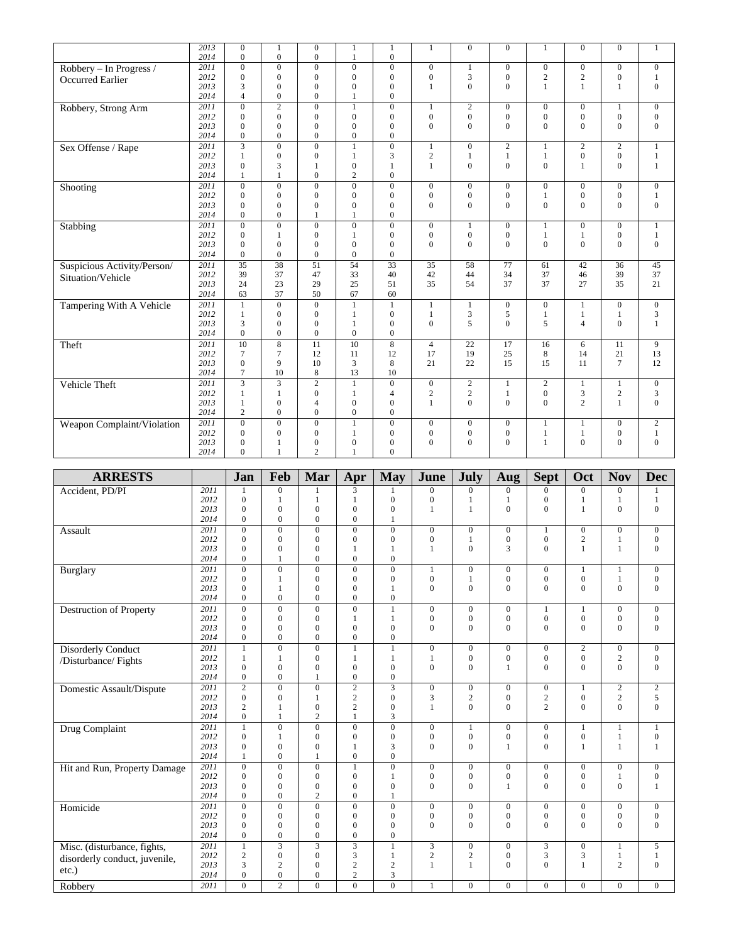|                             | $\overline{2013}$ | $\mathbf{0}$      | 1                        | $\boldsymbol{0}$             | 1                                | 1                            | $\mathbf{1}$                 | $\overline{0}$  | $\mathbf{0}$                 | 1                                  | $\mathbf{0}$                   | $\mathbf{0}$      | 1                                |
|-----------------------------|-------------------|-------------------|--------------------------|------------------------------|----------------------------------|------------------------------|------------------------------|-----------------|------------------------------|------------------------------------|--------------------------------|-------------------|----------------------------------|
|                             | 2014              | $\mathbf{0}$      | $\theta$                 | $\mathbf{0}$                 | 1                                | $\mathbf{0}$                 |                              |                 |                              |                                    |                                |                   |                                  |
| Robbery - In Progress /     | 2011              | $\mathbf{0}$      | $\overline{0}$           | $\overline{0}$               | $\overline{0}$                   | $\mathbf{0}$                 | $\overline{0}$               |                 | $\overline{0}$               | $\overline{0}$                     | $\mathbf{0}$                   | $\mathbf{0}$      | $\mathbf{0}$                     |
| <b>Occurred Earlier</b>     | 2012<br>2013      | $\mathbf{0}$<br>3 | $\mathbf{0}$<br>$\Omega$ | $\mathbf{0}$<br>$\mathbf{0}$ | $\overline{0}$<br>$\overline{0}$ | $\mathbf{0}$<br>$\mathbf{0}$ | $\mathbf{0}$<br>$\mathbf{1}$ | 3<br>$\Omega$   | $\mathbf{0}$<br>$\mathbf{0}$ | $\overline{c}$<br>1                | $\overline{c}$<br>$\mathbf{1}$ | $\mathbf{0}$<br>1 | $\mathbf{1}$<br>$\boldsymbol{0}$ |
|                             | 2014              | $\overline{4}$    | $\mathbf{0}$             | $\mathbf{0}$                 | 1                                | $\mathbf{0}$                 |                              |                 |                              |                                    |                                |                   |                                  |
|                             | 2011              | $\mathbf{0}$      | $\overline{2}$           | $\overline{0}$               | 1                                | $\boldsymbol{0}$             |                              | $\overline{c}$  |                              |                                    |                                |                   |                                  |
| Robbery, Strong Arm         | 2012              | $\mathbf{0}$      | $\mathbf{0}$             | $\mathbf{0}$                 | $\mathbf{0}$                     | $\mathbf{0}$                 | 1<br>$\mathbf{0}$            | $\mathbf{0}$    | $\mathbf{0}$<br>$\mathbf{0}$ | $\boldsymbol{0}$<br>$\overline{0}$ | $\mathbf{0}$<br>$\overline{0}$ | $\mathbf{0}$      | $\mathbf{0}$<br>$\boldsymbol{0}$ |
|                             | 2013              | $\mathbf{0}$      | $\mathbf{0}$             | $\boldsymbol{0}$             | $\mathbf{0}$                     | $\boldsymbol{0}$             | $\theta$                     | $\overline{0}$  | $\mathbf{0}$                 | $\theta$                           | $\theta$                       | $\mathbf{0}$      | $\mathbf{0}$                     |
|                             | 2014              | $\mathbf{0}$      | $\theta$                 | $\theta$                     | $\overline{0}$                   | $\mathbf{0}$                 |                              |                 |                              |                                    |                                |                   |                                  |
| Sex Offense / Rape          | 2011              | $\overline{3}$    | $\overline{0}$           | $\mathbf{0}$                 | $\mathbf{1}$                     | $\boldsymbol{0}$             | $\mathbf{1}$                 | $\overline{0}$  | 2                            | 1                                  | 2                              | $\mathbf{2}$      | $\mathbf{1}$                     |
|                             | 2012              | $\mathbf{1}$      | $\overline{0}$           | $\boldsymbol{0}$             | 1                                | 3                            | $\overline{2}$               | 1               | $\mathbf{1}$                 | 1                                  | $\boldsymbol{0}$               | $\mathbf{0}$      | $\mathbf{1}$                     |
|                             | 2013              | $\mathbf{0}$      | 3                        | 1                            | $\boldsymbol{0}$                 | $\mathbf{1}$                 | $\mathbf{1}$                 | $\mathbf{0}$    | $\mathbf{0}$                 | $\overline{0}$                     | $\mathbf{1}$                   | $\mathbf{0}$      | $\mathbf{1}$                     |
|                             | 2014              | $\mathbf{1}$      | 1                        | $\Omega$                     | $\overline{c}$                   | $\mathbf{0}$                 |                              |                 |                              |                                    |                                |                   |                                  |
| Shooting                    | 2011              | $\mathbf{0}$      | $\Omega$                 | $\mathbf{0}$                 | $\overline{0}$                   | $\mathbf{0}$                 | $\overline{0}$               | $\mathbf{0}$    | $\overline{0}$               | $\overline{0}$                     | $\mathbf{0}$                   | $\overline{0}$    | $\mathbf{0}$                     |
|                             | 2012              | $\boldsymbol{0}$  | $\overline{0}$           | $\boldsymbol{0}$             | $\overline{0}$                   | $\boldsymbol{0}$             | $\mathbf{0}$                 | $\overline{0}$  | $\mathbf{0}$                 | 1                                  | $\mathbf{0}$                   | $\boldsymbol{0}$  | $\mathbf{1}$                     |
|                             | 2013              | $\Omega$          | $\theta$                 | $\overline{0}$               | $\overline{0}$                   | $\mathbf{0}$                 | $\theta$                     | $\overline{0}$  | $\overline{0}$               | $\theta$                           | $\theta$                       | $\mathbf{0}$      | $\boldsymbol{0}$                 |
|                             | 2014              | $\mathbf{0}$      | $\overline{0}$           | 1                            | 1                                | $\boldsymbol{0}$             |                              |                 |                              |                                    |                                |                   |                                  |
| Stabbing                    | 2011              | $\overline{0}$    | $\overline{0}$           | $\mathbf{0}$                 | $\overline{0}$                   | $\overline{0}$               | $\overline{0}$               |                 | $\mathbf{0}$                 | 1                                  | $\mathbf{0}$                   | $\mathbf{0}$      | 1                                |
|                             | 2012              | $\mathbf{0}$      | 1                        | $\overline{0}$               | 1                                | $\mathbf{0}$                 | $\mathbf{0}$                 | $\overline{0}$  | $\mathbf{0}$                 | 1                                  | $\mathbf{1}$                   | $\mathbf{0}$      | $\mathbf{1}$                     |
|                             | 2013              | $\theta$          | $\theta$                 | $\overline{0}$               | $\overline{0}$                   | $\overline{0}$               | $\Omega$                     | $\Omega$        | $\overline{0}$               | $\theta$                           | $\theta$                       | $\Omega$          | $\mathbf{0}$                     |
|                             | 2014              | $\mathbf{0}$      | $\Omega$                 | $\theta$                     | $\theta$                         | $\mathbf{0}$                 |                              |                 |                              |                                    |                                |                   |                                  |
| Suspicious Activity/Person/ | 2011              | $\overline{35}$   | 38                       | $\overline{51}$              | 54                               | $\overline{33}$              | 35                           | 58              | 77                           | 61                                 | 42                             | 36                | 45                               |
| Situation/Vehicle           | 2012              | 39                | 37                       | 47                           | 33                               | 40                           | 42                           | 44              | 34                           | 37                                 | 46                             | 39                | 37                               |
|                             | 2013              | 24                | 23                       | 29                           | 25                               | 51                           | 35                           | 54              | 37                           | 37                                 | 27                             | 35                | 21                               |
|                             | 2014              | 63                | 37                       | 50                           | 67                               | 60                           |                              |                 |                              |                                    |                                |                   |                                  |
| Tampering With A Vehicle    | 2011              | $\mathbf{1}$      | $\overline{0}$           | $\mathbf{0}$                 | 1                                | 1                            | $\mathbf{1}$                 | 1               | $\mathbf{0}$                 | $\overline{0}$                     | $\mathbf{1}$                   | $\mathbf{0}$      | $\mathbf{0}$                     |
|                             | 2012              | $\mathbf{1}$      | $\mathbf{0}$             | $\mathbf{0}$                 | 1                                | $\mathbf{0}$                 | $\mathbf{1}$                 | 3               | 5                            | 1                                  | $\mathbf{1}$                   | 1                 | 3                                |
|                             | 2013              | 3                 | $\theta$                 | $\overline{0}$               | 1                                | $\boldsymbol{0}$             | $\theta$                     | 5               | $\Omega$                     | 5                                  | $\overline{4}$                 | $\theta$          | $\mathbf{1}$                     |
|                             | 2014              | $\mathbf{0}$      | $\overline{0}$           | $\overline{0}$               | $\mathbf{0}$                     | $\mathbf{0}$                 |                              |                 |                              |                                    |                                |                   |                                  |
| Theft                       | 2011              | 10                | $\overline{8}$           | $\overline{11}$              | 10                               | $\overline{8}$               | $\overline{4}$               | $\overline{22}$ | $\overline{17}$              | 16                                 | 6                              | 11                | 9                                |
|                             | 2012              | 7                 | 7                        | 12                           | 11                               | 12                           | 17                           | 19              | 25                           | 8                                  | 14                             | 21                | 13                               |
|                             | 2013              | $\mathbf{0}$      | 9                        | 10                           | 3                                | 8                            | 21                           | 22              | 15                           | 15                                 | 11                             | $\tau$            | 12                               |
|                             | 2014              | $\overline{7}$    | 10                       | 8                            | 13                               | 10                           |                              |                 |                              |                                    |                                |                   |                                  |
| Vehicle Theft               | 2011              | $\overline{3}$    | $\overline{3}$           | $\overline{2}$               | 1                                | $\boldsymbol{0}$             | $\mathbf{0}$                 | $\overline{c}$  | 1                            | $\overline{c}$                     | $\mathbf{1}$                   | $\mathbf{1}$      | $\boldsymbol{0}$                 |
|                             | 2012              | $\mathbf{1}$      | 1                        | $\overline{0}$               | 1                                | $\overline{4}$               | $\overline{c}$               | $\overline{c}$  | $\mathbf{1}$                 | $\mathbf{0}$                       | 3                              | $\sqrt{2}$        | 3                                |
|                             | 2013              | $\mathbf{1}$      | $\mathbf{0}$             | $\overline{4}$               | $\mathbf{0}$                     | $\mathbf{0}$                 | $\mathbf{1}$                 | $\overline{0}$  | $\mathbf{0}$                 | $\Omega$                           | $\overline{c}$                 | $\mathbf{1}$      | $\mathbf{0}$                     |
|                             | 2014              | $\overline{c}$    | $\Omega$                 | $\overline{0}$               | $\mathbf{0}$                     | $\overline{0}$               |                              |                 |                              |                                    |                                |                   |                                  |
| Weapon Complaint/Violation  | 2011              | $\Omega$          | $\Omega$                 | $\mathbf{0}$                 | 1                                | $\mathbf{0}$                 | $\overline{0}$               | $\mathbf{0}$    | $\overline{0}$               | 1                                  | 1                              | $\mathbf{0}$      | $\overline{c}$                   |
|                             | 2012              | $\mathbf{0}$      | $\Omega$                 | $\overline{0}$               | 1                                | $\boldsymbol{0}$             | $\mathbf{0}$                 | 0               | $\boldsymbol{0}$             | 1                                  | 1                              | $\boldsymbol{0}$  | 1                                |
|                             | 2013              | $\Omega$          |                          | $\overline{0}$               | $\mathbf{0}$                     | $\mathbf{0}$                 | $\Omega$                     | $\Omega$        | $\Omega$                     | 1                                  | $\Omega$                       | $\theta$          | $\mathbf{0}$                     |
|                             | 2014              | $\Omega$          | 1                        | $\overline{c}$               |                                  | $\Omega$                     |                              |                 |                              |                                    |                                |                   |                                  |

| <b>ARRESTS</b>                 |      | Jan            | Feb            | Mar              | Apr            | <b>May</b>       | June             | <b>July</b>      | Aug              | <b>Sept</b>    | Oct            | <b>Nov</b>     | <b>Dec</b>       |
|--------------------------------|------|----------------|----------------|------------------|----------------|------------------|------------------|------------------|------------------|----------------|----------------|----------------|------------------|
| Accident, PD/PI                | 2011 | 1              | $\mathbf{0}$   | $\mathbf{1}$     | 3              | 1                | $\mathbf{0}$     | $\overline{0}$   | $\Omega$         | $\Omega$       | $\theta$       | $\overline{0}$ | 1                |
|                                | 2012 | $\Omega$       | 1              | $\mathbf{1}$     | $\mathbf{1}$   | $\Omega$         | $\boldsymbol{0}$ |                  |                  | $\theta$       | 1              |                | $\mathbf{1}$     |
|                                | 2013 | $\mathbf{0}$   | $\mathbf{0}$   | $\mathbf{0}$     | $\mathbf{0}$   | $\mathbf{0}$     | $\mathbf{1}$     | 1                | $\mathbf{0}$     | $\Omega$       | $\mathbf{1}$   | $\mathbf{0}$   | $\mathbf{0}$     |
|                                | 2014 | $\Omega$       | $\Omega$       | $\mathbf{0}$     | $\mathbf{0}$   | $\mathbf{1}$     |                  |                  |                  |                |                |                |                  |
| Assault                        | 2011 | $\Omega$       | $\mathbf{0}$   | $\mathbf{0}$     | $\mathbf{0}$   | $\mathbf{0}$     | $\mathbf{0}$     | $\overline{0}$   | $\mathbf{0}$     | 1              | $\mathbf{0}$   | $\mathbf{0}$   | $\mathbf{0}$     |
|                                | 2012 | $\Omega$       | $\Omega$       | $\mathbf{0}$     | $\mathbf{0}$   | $\Omega$         | $\boldsymbol{0}$ | $\mathbf{1}$     | $\boldsymbol{0}$ | $\mathbf{0}$   | $\sqrt{2}$     |                | $\boldsymbol{0}$ |
|                                | 2013 | $\Omega$       | $\Omega$       | $\mathbf{0}$     | 1              | 1                | $\mathbf{1}$     | $\mathbf{0}$     | 3                | $\Omega$       | $\mathbf{1}$   | 1              | $\boldsymbol{0}$ |
|                                | 2014 | $\overline{0}$ | $\mathbf{1}$   | $\mathbf{0}$     | $\mathbf{0}$   | $\boldsymbol{0}$ |                  |                  |                  |                |                |                |                  |
| Burglary                       | 2011 | $\Omega$       | $\Omega$       | $\mathbf{0}$     | $\Omega$       | $\Omega$         | 1                | $\overline{0}$   | $\mathbf{0}$     | $\Omega$       | 1              | 1              | $\mathbf{0}$     |
|                                | 2012 | $\Omega$       | 1              | $\mathbf{0}$     | $\mathbf{0}$   | $\mathbf{0}$     | $\mathbf{0}$     |                  | $\mathbf{0}$     | $\overline{0}$ | $\mathbf{0}$   |                | $\boldsymbol{0}$ |
|                                | 2013 | $\Omega$       | 1              | $\mathbf{0}$     | $\mathbf{0}$   | 1                | $\Omega$         | $\mathbf{0}$     | $\Omega$         | $\Omega$       | $\Omega$       | $\mathbf{0}$   | $\overline{0}$   |
|                                | 2014 | $\Omega$       | $\Omega$       | $\mathbf{0}$     | $\Omega$       | $\mathbf{0}$     |                  |                  |                  |                |                |                |                  |
| <b>Destruction of Property</b> | 2011 | $\Omega$       | $\Omega$       | $\mathbf{0}$     | $\mathbf{0}$   | $\mathbf{1}$     | $\mathbf{0}$     | $\overline{0}$   | $\mathbf{0}$     | $\mathbf{1}$   | $\mathbf{1}$   | $\mathbf{0}$   | $\boldsymbol{0}$ |
|                                | 2012 | $\Omega$       | $\Omega$       | $\mathbf{0}$     | 1              | 1                | $\boldsymbol{0}$ | $\overline{0}$   | $\mathbf{0}$     | $\overline{0}$ | $\mathbf{0}$   | $\overline{0}$ | $\boldsymbol{0}$ |
|                                | 2013 | $\Omega$       | $\mathbf{0}$   | $\mathbf{0}$     | $\mathbf{0}$   | $\mathbf{0}$     | $\mathbf{0}$     | $\mathbf{0}$     | $\mathbf{0}$     | $\Omega$       | $\mathbf{0}$   | $\mathbf{0}$   | $\mathbf{0}$     |
|                                | 2014 | $\overline{0}$ | $\mathbf{0}$   | $\mathbf{0}$     | $\mathbf{0}$   | $\boldsymbol{0}$ |                  |                  |                  |                |                |                |                  |
| <b>Disorderly Conduct</b>      | 2011 | $\mathbf{1}$   | $\mathbf{0}$   | $\mathbf{0}$     | $\mathbf{1}$   | $\mathbf{1}$     | $\mathbf{0}$     | $\overline{0}$   | $\mathbf{0}$     | $\overline{0}$ | $\overline{c}$ | $\mathbf{0}$   | $\mathbf{0}$     |
| /Disturbance/ Fights           | 2012 | 1              | $\mathbf{1}$   | $\mathbf{0}$     | $\mathbf{1}$   | $\mathbf{1}$     | $\mathbf{1}$     | $\overline{0}$   | $\boldsymbol{0}$ | $\overline{0}$ | $\mathbf{0}$   | $\overline{c}$ | $\boldsymbol{0}$ |
|                                | 2013 | $\Omega$       | $\mathbf{0}$   | $\mathbf{0}$     | $\mathbf{0}$   | $\theta$         | $\mathbf{0}$     | $\mathbf{0}$     | $\mathbf{1}$     | $\Omega$       | $\Omega$       | $\mathbf{0}$   | $\mathbf{0}$     |
|                                | 2014 | $\overline{0}$ | $\mathbf{0}$   | $\mathbf{1}$     | $\mathbf{0}$   | $\boldsymbol{0}$ |                  |                  |                  |                |                |                |                  |
| Domestic Assault/Dispute       | 2011 | $\mathfrak{2}$ | $\Omega$       | $\mathbf{0}$     | $\overline{2}$ | $\overline{3}$   | $\mathbf{0}$     | $\overline{0}$   | $\mathbf{0}$     | $\overline{0}$ | 1              | $\overline{2}$ | $\overline{2}$   |
|                                | 2012 | $\Omega$       | $\theta$       | $\mathbf{1}$     | $\sqrt{2}$     | $\theta$         | 3                | $\mathbf{2}$     | $\mathbf{0}$     | $\sqrt{2}$     | $\overline{0}$ | $\overline{c}$ | 5                |
|                                | 2013 | $\overline{c}$ | 1              | $\mathbf{0}$     | $\mathfrak{2}$ | $\mathbf{0}$     | $\mathbf{1}$     | $\mathbf{0}$     | $\Omega$         | $\overline{c}$ | $\Omega$       | $\mathbf{0}$   | $\mathbf{0}$     |
|                                | 2014 | $\overline{0}$ | $\mathbf{1}$   | $\overline{2}$   | $\mathbf{1}$   | 3                |                  |                  |                  |                |                |                |                  |
| Drug Complaint                 | 2011 | $\mathbf{1}$   | $\Omega$       | $\mathbf{0}$     | $\Omega$       | $\Omega$         | $\mathbf{0}$     | $\mathbf{1}$     | $\mathbf{0}$     | $\overline{0}$ | $\mathbf{1}$   | $\mathbf{1}$   | $\mathbf{1}$     |
|                                | 2012 | $\Omega$       | $\mathbf{1}$   | $\mathbf{0}$     | $\mathbf{0}$   | $\theta$         | $\mathbf{0}$     | $\overline{0}$   | $\mathbf{0}$     | $\overline{0}$ | $\overline{0}$ | 1              | $\boldsymbol{0}$ |
|                                | 2013 | $\overline{0}$ | $\mathbf{0}$   | $\mathbf{0}$     | 1              | 3                | $\mathbf{0}$     | $\mathbf{0}$     | $\mathbf{1}$     | $\Omega$       | $\mathbf{1}$   | 1              | $\mathbf{1}$     |
|                                | 2014 | 1              | $\mathbf{0}$   | $\mathbf{1}$     | $\mathbf{0}$   | $\mathbf{0}$     |                  |                  |                  |                |                |                |                  |
| Hit and Run, Property Damage   | 2011 | $\Omega$       | $\Omega$       | $\mathbf{0}$     | $\mathbf{1}$   | $\mathbf{0}$     | $\mathbf{0}$     | $\overline{0}$   | $\overline{0}$   | $\overline{0}$ | $\mathbf{0}$   | $\overline{0}$ | $\boldsymbol{0}$ |
|                                | 2012 | $\Omega$       | $\Omega$       | $\mathbf{0}$     | $\mathbf{0}$   | 1                | $\boldsymbol{0}$ | $\overline{0}$   | $\boldsymbol{0}$ | $\overline{0}$ | $\overline{0}$ | 1              | $\boldsymbol{0}$ |
|                                | 2013 | $\Omega$       | $\mathbf{0}$   | $\mathbf{0}$     | $\mathbf{0}$   | $\mathbf{0}$     | $\mathbf{0}$     | $\mathbf{0}$     | 1                | $\Omega$       | $\mathbf{0}$   | $\mathbf{0}$   | $\mathbf{1}$     |
|                                | 2014 | $\overline{0}$ | $\mathbf{0}$   | $\mathbf{2}$     | $\mathbf{0}$   | $\mathbf{1}$     |                  |                  |                  |                |                |                |                  |
| Homicide                       | 2011 | $\Omega$       | $\Omega$       | $\overline{0}$   | $\overline{0}$ | $\Omega$         | $\mathbf{0}$     | $\overline{0}$   | $\Omega$         | $\Omega$       | $\mathbf{0}$   | $\mathbf{0}$   | $\mathbf{0}$     |
|                                | 2012 | $\Omega$       | $\Omega$       | $\mathbf{0}$     | $\mathbf{0}$   | $\Omega$         | $\boldsymbol{0}$ | $\mathbf{0}$     | $\mathbf{0}$     | $\mathbf{0}$   | $\mathbf{0}$   | 0              | $\boldsymbol{0}$ |
|                                | 2013 | $\Omega$       | $\mathbf{0}$   | $\mathbf{0}$     | $\mathbf{0}$   | $\mathbf{0}$     | $\Omega$         | $\Omega$         | $\Omega$         | $\Omega$       | $\Omega$       | $\Omega$       | $\mathbf{0}$     |
|                                | 2014 | $\overline{0}$ | $\mathbf{0}$   | $\mathbf{0}$     | $\mathbf{0}$   | $\mathbf{0}$     |                  |                  |                  |                |                |                |                  |
| Misc. (disturbance, fights,    | 2011 | $\mathbf{1}$   | $\overline{3}$ | $\overline{3}$   | $\overline{3}$ | $\mathbf{1}$     | 3                | $\overline{0}$   | $\overline{0}$   | 3              | $\mathbf{0}$   | $\mathbf{1}$   | 5                |
| disorderly conduct, juvenile,  | 2012 | $\overline{c}$ | $\mathbf{0}$   | $\mathbf{0}$     | 3              | $\mathbf{1}$     | $\overline{c}$   | $\boldsymbol{2}$ | $\mathbf{0}$     | 3              | 3              | 1              | $\mathbf{1}$     |
| $etc.$ )                       | 2013 | 3              | $\mathfrak{2}$ | $\boldsymbol{0}$ | $\overline{c}$ | $\overline{2}$   | $\mathbf{1}$     | $\mathbf{1}$     | $\mathbf{0}$     | $\Omega$       | $\mathbf{1}$   | $\overline{c}$ | $\boldsymbol{0}$ |
|                                | 2014 | $\overline{0}$ | $\mathbf{0}$   | $\boldsymbol{0}$ | $\sqrt{2}$     | 3                |                  |                  |                  |                |                |                |                  |
| Robbery                        | 2011 | $\Omega$       | $\overline{2}$ | $\Omega$         | $\overline{0}$ | $\theta$         | $\mathbf{1}$     | $\overline{0}$   | $\mathbf{0}$     | $\Omega$       | $\mathbf{0}$   | $\overline{0}$ | $\mathbf{0}$     |